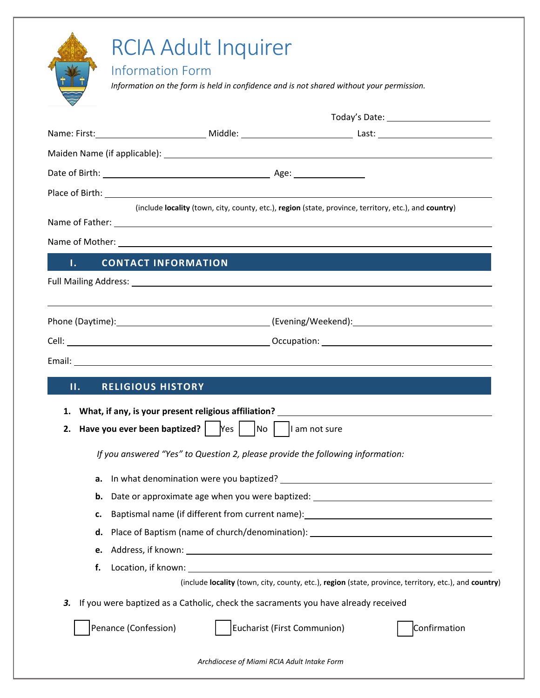|         | <b>RCIA Adult Inquirer</b>                                                                                                                                                                                                           |  |
|---------|--------------------------------------------------------------------------------------------------------------------------------------------------------------------------------------------------------------------------------------|--|
|         | <b>Information Form</b><br>Information on the form is held in confidence and is not shared without your permission.                                                                                                                  |  |
|         |                                                                                                                                                                                                                                      |  |
|         |                                                                                                                                                                                                                                      |  |
|         |                                                                                                                                                                                                                                      |  |
|         |                                                                                                                                                                                                                                      |  |
|         |                                                                                                                                                                                                                                      |  |
|         | (include locality (town, city, county, etc.), region (state, province, territory, etc.), and country)                                                                                                                                |  |
|         | Name of Father: Name of Father: Name of Father: Name of Father: Name of Father: Name of Father: Name of Tables                                                                                                                       |  |
|         | Name of Mother: <u>Communications</u> Control and Control of Mother:                                                                                                                                                                 |  |
| Τ.      | <b>CONTACT INFORMATION</b>                                                                                                                                                                                                           |  |
|         |                                                                                                                                                                                                                                      |  |
|         |                                                                                                                                                                                                                                      |  |
|         |                                                                                                                                                                                                                                      |  |
|         |                                                                                                                                                                                                                                      |  |
|         |                                                                                                                                                                                                                                      |  |
| $\Pi$ . | <b>RELIGIOUS HISTORY</b>                                                                                                                                                                                                             |  |
|         | 1. What, if any, is your present religious affiliation?                                                                                                                                                                              |  |
| 2.      | <b>Have you ever been baptized?</b> $\begin{bmatrix} \text{Yes} \\ \text{Yes} \end{bmatrix}$ No $\begin{bmatrix} \text{I am not sure} \\ \text{I am not sure} \end{bmatrix}$                                                         |  |
|         | If you answered "Yes" to Question 2, please provide the following information:                                                                                                                                                       |  |
| а.      |                                                                                                                                                                                                                                      |  |
| b.      | Date or approximate age when you were baptized: ________________________________                                                                                                                                                     |  |
| c.      | Baptismal name (if different from current name): _______________________________                                                                                                                                                     |  |
| d.      | Place of Baptism (name of church/denomination): ________________________________                                                                                                                                                     |  |
| e.      |                                                                                                                                                                                                                                      |  |
| f.      | Location, if known: <u>contract the contract of the contract of the contract of the contract of the contract of the contract of the contract of the contract of the contract of the contract of the contract of the contract of </u> |  |
|         | (include locality (town, city, county, etc.), region (state, province, territory, etc.), and country)                                                                                                                                |  |
| 3.      | If you were baptized as a Catholic, check the sacraments you have already received                                                                                                                                                   |  |
|         | Eucharist (First Communion)<br>Penance (Confession)<br>Confirmation                                                                                                                                                                  |  |
|         | Archdiocese of Miami RCIA Adult Intake Form                                                                                                                                                                                          |  |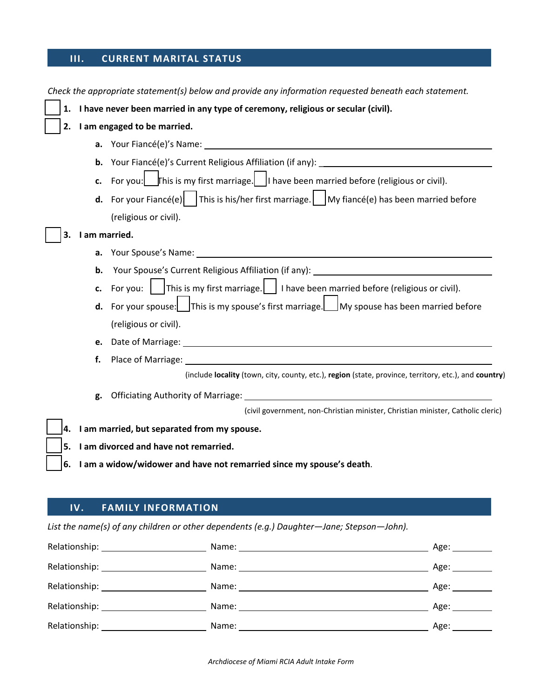## **III. CURRENT MARITAL STATUS**

|                                                                            |               | Check the appropriate statement(s) below and provide any information requested beneath each statement.                                             |  |  |
|----------------------------------------------------------------------------|---------------|----------------------------------------------------------------------------------------------------------------------------------------------------|--|--|
| 1.                                                                         |               | I have never been married in any type of ceremony, religious or secular (civil).                                                                   |  |  |
|                                                                            |               | 2. I am engaged to be married.                                                                                                                     |  |  |
|                                                                            |               |                                                                                                                                                    |  |  |
|                                                                            |               |                                                                                                                                                    |  |  |
|                                                                            |               | c. For you: $\boxed{\phantom{\text{a}}\phantom{\text{b}}\text{f}}$ finition is my first marriage. In the been married before (religious or civil). |  |  |
|                                                                            |               | <b>d.</b> For your Fiancé(e) $\vert$ This is his/her first marriage. My fiancé(e) has been married before                                          |  |  |
|                                                                            |               | (religious or civil).                                                                                                                              |  |  |
| 3.                                                                         | I am married. |                                                                                                                                                    |  |  |
|                                                                            |               |                                                                                                                                                    |  |  |
|                                                                            | b.            |                                                                                                                                                    |  |  |
|                                                                            | c.            | For you: $\int$ This is my first marriage. $\int$ I have been married before (religious or civil).                                                 |  |  |
|                                                                            |               | <b>d.</b> For your spouse: $\Box$ This is my spouse's first marriage. $\Box$ My spouse has been married before                                     |  |  |
|                                                                            |               | (religious or civil).                                                                                                                              |  |  |
|                                                                            |               |                                                                                                                                                    |  |  |
|                                                                            | f.            |                                                                                                                                                    |  |  |
|                                                                            |               | (include locality (town, city, county, etc.), region (state, province, territory, etc.), and country)                                              |  |  |
|                                                                            | g.            |                                                                                                                                                    |  |  |
|                                                                            |               | (civil government, non-Christian minister, Christian minister, Catholic cleric)                                                                    |  |  |
| 4.                                                                         |               | I am married, but separated from my spouse.                                                                                                        |  |  |
| 5.                                                                         |               | I am divorced and have not remarried.                                                                                                              |  |  |
| I am a widow/widower and have not remarried since my spouse's death.<br>6. |               |                                                                                                                                                    |  |  |
|                                                                            |               |                                                                                                                                                    |  |  |
|                                                                            |               |                                                                                                                                                    |  |  |

## **IV. FAMILY INFORMATION**

*List the name(s) of any children or other dependents (e.g.) Daughter—Jane; Stepson—John).* 

| Relationship: _______________________  | Age: _________                                                                                                  |
|----------------------------------------|-----------------------------------------------------------------------------------------------------------------|
|                                        | Age: __________                                                                                                 |
| Relationship: ______________________   | Age: $\_\_\_\_\_\_\_\_\_\_\_\_\_\_\_\_\_$                                                                       |
| Relationship: _____________________    | Age: and the set of the set of the set of the set of the set of the set of the set of the set of the set of the |
| Relationship: ________________________ | Age: $\_\_\_\_\_\_\_\_\_\_\_\_\_\_\_$                                                                           |